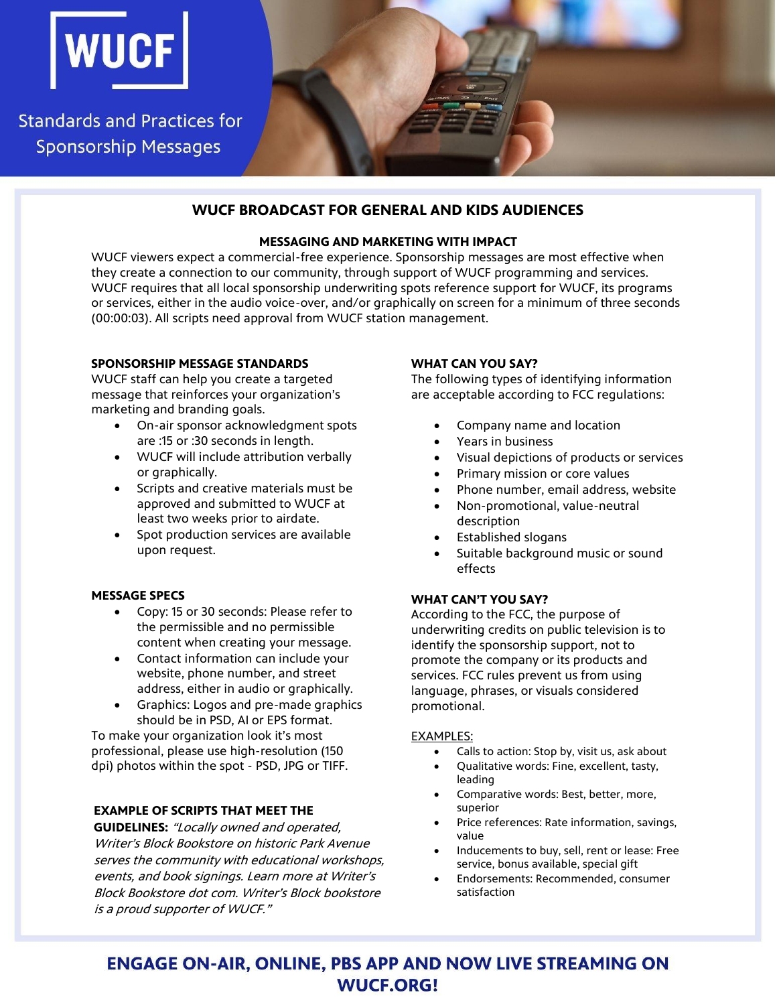

**Standards and Practices for Sponsorship Messages** 

# **WUCF BROADCAST FOR GENERAL AND KIDS AUDIENCES**

#### **MESSAGING AND MARKETING WITH IMPACT**

WUCF viewers expect a commercial-free experience. Sponsorship messages are most effective when they create a connection to our community, through support of WUCF programming and services. WUCF requires that all local sponsorship underwriting spots reference support for WUCF, its programs or services, either in the audio voice-over, and/or graphically on screen for a minimum of three seconds (00:00:03). All scripts need approval from WUCF station management.

### **SPONSORSHIP MESSAGE STANDARDS**

WUCF staff can help you create a targeted message that reinforces your organization's marketing and branding goals.

- On-air sponsor acknowledgment spots are :15 or :30 seconds in length.
- WUCF will include attribution verbally or graphically.
- Scripts and creative materials must be approved and submitted to WUCF at least two weeks prior to airdate.
- Spot production services are available upon request.

# **MESSAGE SPECS**

- Copy: 15 or 30 seconds: Please refer to the permissible and no permissible content when creating your message.
- Contact information can include your website, phone number, and street address, either in audio or graphically.
- Graphics: Logos and pre-made graphics should be in PSD, AI or EPS format.

To make your organization look it's most professional, please use high-resolution (150 dpi) photos within the spot - PSD, JPG or TIFF.

# **EXAMPLE OF SCRIPTS THAT MEET THE**

**GUIDELINES:** "Locally owned and operated, Writer's Block Bookstore on historic Park Avenue serves the community with educational workshops, events, and book signings. Learn more at Writer's Block Bookstore dot com. Writer's Block bookstore is a proud supporter of WUCF."

# **WHAT CAN YOU SAY?**

The following types of identifying information are acceptable according to FCC regulations:

- Company name and location
- Years in business
- Visual depictions of products or services
- Primary mission or core values
- Phone number, email address, website
- Non-promotional, value-neutral description
- Established slogans
- Suitable background music or sound effects

# **WHAT CAN'T YOU SAY?**

According to the FCC, the purpose of underwriting credits on public television is to identify the sponsorship support, not to promote the company or its products and services. FCC rules prevent us from using language, phrases, or visuals considered promotional.

#### EXAMPLES:

- Calls to action: Stop by, visit us, ask about
- Qualitative words: Fine, excellent, tasty, leading
- Comparative words: Best, better, more, superior
- Price references: Rate information, savings, value
- Inducements to buy, sell, rent or lease: Free service, bonus available, special gift
- Endorsements: Recommended, consumer satisfaction

# **ENGAGE ON-AIR, ONLINE, PBS APP AND NOW LIVE STREAMING ON WUCF.ORG!**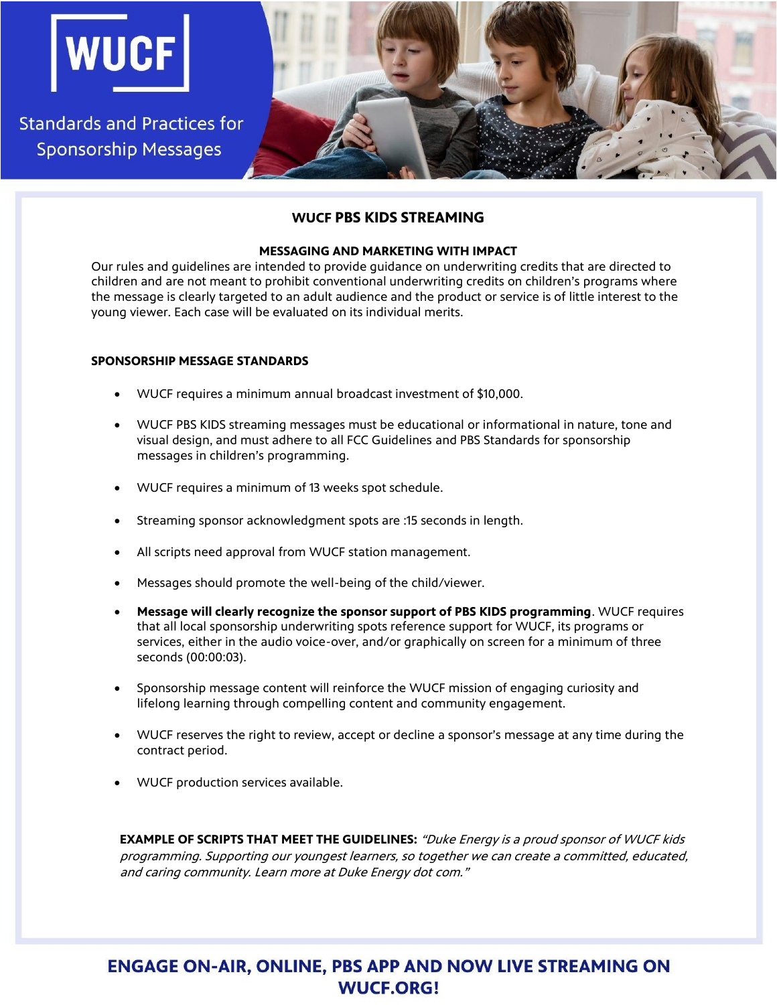

# **WUCF PBS KIDS STREAMING**

#### **MESSAGING AND MARKETING WITH IMPACT**

Our rules and guidelines are intended to provide guidance on underwriting credits that are directed to children and are not meant to prohibit conventional underwriting credits on children's programs where the message is clearly targeted to an adult audience and the product or service is of little interest to the young viewer. Each case will be evaluated on its individual merits.

#### **SPONSORSHIP MESSAGE STANDARDS**

- WUCF requires a minimum annual broadcast investment of \$10,000.
- WUCF PBS KIDS streaming messages must be educational or informational in nature, tone and visual design, and must adhere to all FCC Guidelines and PBS Standards for sponsorship messages in children's programming.
- WUCF requires a minimum of 13 weeks spot schedule.
- Streaming sponsor acknowledgment spots are :15 seconds in length.
- All scripts need approval from WUCF station management.
- Messages should promote the well-being of the child/viewer.
- **Message will clearly recognize the sponsor support of PBS KIDS programming**. WUCF requires that all local sponsorship underwriting spots reference support for WUCF, its programs or services, either in the audio voice-over, and/or graphically on screen for a minimum of three seconds (00:00:03).
- Sponsorship message content will reinforce the WUCF mission of engaging curiosity and lifelong learning through compelling content and community engagement.
- WUCF reserves the right to review, accept or decline a sponsor's message at any time during the contract period.
- WUCF production services available.

**EXAMPLE OF SCRIPTS THAT MEET THE GUIDELINES:** "Duke Energy is a proud sponsor of WUCF kids programming. Supporting our youngest learners, so together we can create a committed, educated, and caring community. Learn more at Duke Energy dot com."

# **ENGAGE ON-AIR, ONLINE, PBS APP AND NOW LIVE STREAMING ON WUCF.ORG!**